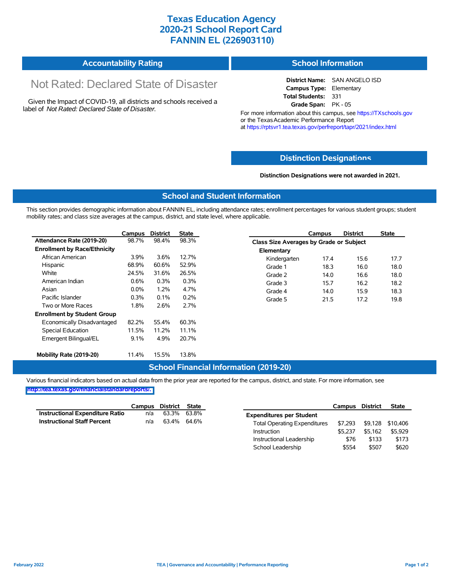## **Texas Education Agency 2020-21 School Report Card FANNIN EL (226903110)**

|  | <b>Accountability Rating</b> | School Information |
|--|------------------------------|--------------------|
|--|------------------------------|--------------------|

# Not Rated: Declared State of Disaster

Given the Impact of COVID-19, all districts and schools received a label of *Not Rated: Declared State of Disaster.*

**District Name:** SAN ANGELO ISD **Campus Type:** Elementary **Total Students:** 331 **Grade Span:** PK - 05

For more information about this campus, see https://TXschools.gov or the Texas Academic Performance Report at https://rptsvr1.tea.texas.gov/perfreport/tapr/2021/index.html

#### **Distinction Designat[ions](https://TXschools.gov)**

**Distinction Designations were not awarded in 2021.**

School Leadership  $$554$  \$507 \$620

#### **School and Student Information**

This section provides demographic information about FANNIN EL, including attendance rates; enrollment percentages for various student groups; student mobility rates; and class size averages at the campus, district, and state level, where applicable.

|                                     | Campus  | <b>District</b> | <b>State</b> |              | Campus                                  | <b>District</b> | <b>State</b> |
|-------------------------------------|---------|-----------------|--------------|--------------|-----------------------------------------|-----------------|--------------|
| Attendance Rate (2019-20)           | 98.7%   | 98.4%           | 98.3%        |              | Class Size Averages by Grade or Subject |                 |              |
| <b>Enrollment by Race/Ethnicity</b> |         |                 |              | Elementary   |                                         |                 |              |
| African American                    | $3.9\%$ | 3.6%            | 12.7%        | Kindergarten | 17.4                                    | 15.6            | 17.7         |
| Hispanic                            | 68.9%   | 60.6%           | 52.9%        | Grade 1      | 18.3                                    | 16.0            | 18.0         |
| White                               | 24.5%   | 31.6%           | 26.5%        | Grade 2      | 14.0                                    | 16.6            | 18.0         |
| American Indian                     | 0.6%    | 0.3%            | 0.3%         | Grade 3      | 15.7                                    | 16.2            | 18.2         |
| Asian                               | $0.0\%$ | 1.2%            | 4.7%         | Grade 4      | 14.0                                    | 15.9            | 18.3         |
| Pacific Islander                    | 0.3%    | 0.1%            | 0.2%         | Grade 5      | 21.5                                    | 17.2            | 19.8         |
| Two or More Races                   | 1.8%    | 2.6%            | 2.7%         |              |                                         |                 |              |
| <b>Enrollment by Student Group</b>  |         |                 |              |              |                                         |                 |              |
| Economically Disadvantaged          | 82.2%   | 55.4%           | 60.3%        |              |                                         |                 |              |
| Special Education                   | 11.5%   | 11.2%           | 11.1%        |              |                                         |                 |              |
| Emergent Bilingual/EL               | 9.1%    | 4.9%            | 20.7%        |              |                                         |                 |              |
|                                     |         |                 |              |              |                                         |                 |              |
| Mobility Rate (2019-20)             | 11.4%   | 15.5%           | 13.8%        |              |                                         |                 |              |

#### **School Financial Information (2019-20)**

Various financial indicators based on actual data from the prior year are reported for the campus, district, and state. For more information, see

**[http://tea.texas.gov/financialstandardreports/.](http://tea.texas.gov/financialstandardreports/)**

|                                        | Campus | District | State       |                                     | Campus  | <b>District</b> | <b>State</b>     |
|----------------------------------------|--------|----------|-------------|-------------------------------------|---------|-----------------|------------------|
| <b>Instructional Expenditure Ratio</b> | n/a    | 63.3%    | 63.8%       | <b>Expenditures per Student</b>     |         |                 |                  |
| <b>Instructional Staff Percent</b>     | n/a    |          | 63.4% 64.6% | <b>Total Operating Expenditures</b> | \$7.293 |                 | \$9,128 \$10,406 |
|                                        |        |          |             | Instruction                         | \$5.237 | \$5.162         | \$5,929          |
|                                        |        |          |             | Instructional Leadership            | \$76    | \$133           | \$173            |